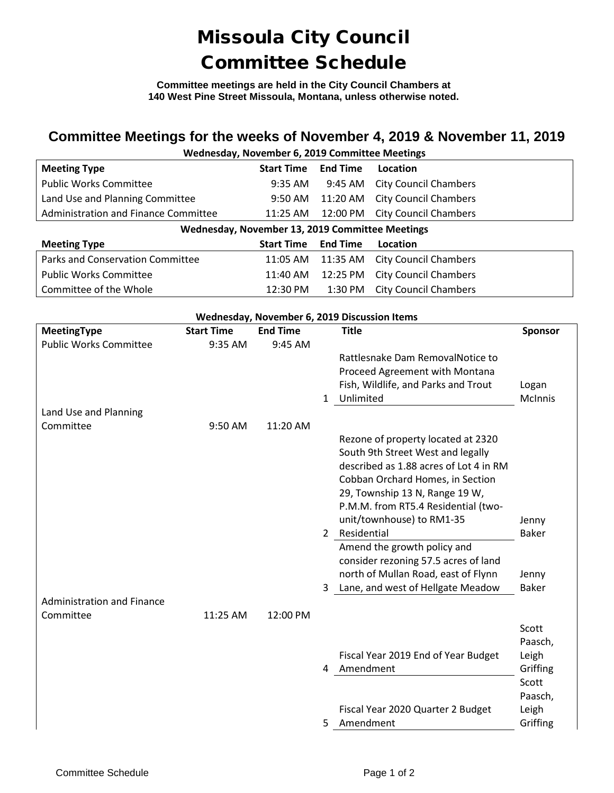## Missoula City Council Committee Schedule

**Committee meetings are held in the City Council Chambers at 140 West Pine Street Missoula, Montana, unless otherwise noted.**

## **Committee Meetings for the weeks of November 4, 2019 & November 11, 2019**

| Wednesday, November 6, 2019 Committee Meetings  |                   |                 |                              |  |  |  |  |
|-------------------------------------------------|-------------------|-----------------|------------------------------|--|--|--|--|
| <b>Meeting Type</b>                             | <b>Start Time</b> | <b>End Time</b> | Location                     |  |  |  |  |
| <b>Public Works Committee</b>                   | $9:35 \text{ AM}$ | 9:45 AM         | <b>City Council Chambers</b> |  |  |  |  |
| Land Use and Planning Committee                 | $9:50 \text{ AM}$ | 11:20 AM        | <b>City Council Chambers</b> |  |  |  |  |
| Administration and Finance Committee            | $11:25$ AM        | 12:00 PM        | <b>City Council Chambers</b> |  |  |  |  |
| Wednesday, November 13, 2019 Committee Meetings |                   |                 |                              |  |  |  |  |
| <b>Meeting Type</b>                             | <b>Start Time</b> | <b>End Time</b> | Location                     |  |  |  |  |
| Parks and Conservation Committee                | 11:05 AM          | 11:35 AM        | <b>City Council Chambers</b> |  |  |  |  |
| <b>Public Works Committee</b>                   | 11:40 AM          | 12:25 PM        | <b>City Council Chambers</b> |  |  |  |  |
| Committee of the Whole                          | 12:30 PM          | $1:30$ PM       | <b>City Council Chambers</b> |  |  |  |  |

| Wednesday, November 6, 2019 Discussion Items |                   |                 |              |                                        |                |
|----------------------------------------------|-------------------|-----------------|--------------|----------------------------------------|----------------|
| MeetingType                                  | <b>Start Time</b> | <b>End Time</b> |              | <b>Title</b>                           | <b>Sponsor</b> |
| <b>Public Works Committee</b>                | 9:35 AM           | 9:45 AM         |              |                                        |                |
|                                              |                   |                 |              | Rattlesnake Dam RemovalNotice to       |                |
|                                              |                   |                 |              | Proceed Agreement with Montana         |                |
|                                              |                   |                 |              | Fish, Wildlife, and Parks and Trout    | Logan          |
|                                              |                   |                 | $\mathbf{1}$ | Unlimited                              | <b>McInnis</b> |
| Land Use and Planning                        |                   |                 |              |                                        |                |
| Committee                                    | 9:50 AM           | 11:20 AM        |              |                                        |                |
|                                              |                   |                 |              | Rezone of property located at 2320     |                |
|                                              |                   |                 |              | South 9th Street West and legally      |                |
|                                              |                   |                 |              | described as 1.88 acres of Lot 4 in RM |                |
|                                              |                   |                 |              | Cobban Orchard Homes, in Section       |                |
|                                              |                   |                 |              | 29, Township 13 N, Range 19 W,         |                |
|                                              |                   |                 |              | P.M.M. from RT5.4 Residential (two-    |                |
|                                              |                   |                 |              | unit/townhouse) to RM1-35              | Jenny          |
|                                              |                   |                 |              | 2 Residential                          | <b>Baker</b>   |
|                                              |                   |                 |              | Amend the growth policy and            |                |
|                                              |                   |                 |              | consider rezoning 57.5 acres of land   |                |
|                                              |                   |                 |              | north of Mullan Road, east of Flynn    | Jenny          |
|                                              |                   |                 | 3            | Lane, and west of Hellgate Meadow      | <b>Baker</b>   |
| <b>Administration and Finance</b>            |                   |                 |              |                                        |                |
| Committee                                    | 11:25 AM          | 12:00 PM        |              |                                        |                |
|                                              |                   |                 |              |                                        | Scott          |
|                                              |                   |                 |              |                                        | Paasch,        |
|                                              |                   |                 |              | Fiscal Year 2019 End of Year Budget    | Leigh          |
|                                              |                   |                 | 4            | Amendment                              | Griffing       |
|                                              |                   |                 |              |                                        | Scott          |
|                                              |                   |                 |              |                                        | Paasch,        |
|                                              |                   |                 |              | Fiscal Year 2020 Quarter 2 Budget      | Leigh          |
|                                              |                   |                 | 5.           | Amendment                              | Griffing       |